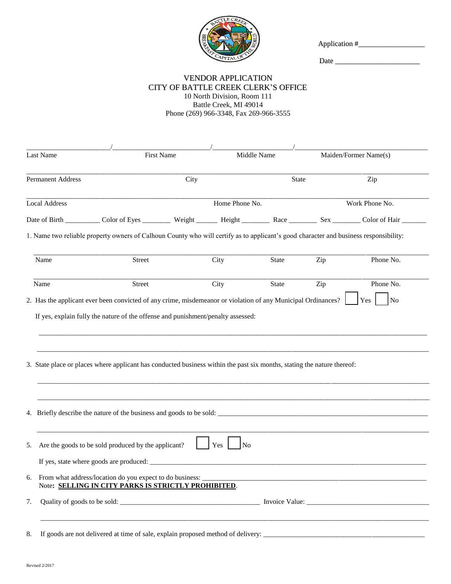

Application #\_\_\_\_\_\_\_\_\_\_\_\_\_\_\_\_\_\_

Date \_\_\_\_\_\_\_\_\_\_\_\_\_\_\_\_\_\_\_\_\_\_\_

## VENDOR APPLICATION CITY OF BATTLE CREEK CLERK'S OFFICE

10 North Division, Room 111 Battle Creek, MI 49014 Phone (269) 966-3348, Fax 269-966-3555

|                          | <b>First Name</b>                                                                                                                                    |                       | Middle Name<br><b>State</b>                                                               |                | Maiden/Former Name(s)<br>Zip |  |
|--------------------------|------------------------------------------------------------------------------------------------------------------------------------------------------|-----------------------|-------------------------------------------------------------------------------------------|----------------|------------------------------|--|
| <b>Permanent Address</b> |                                                                                                                                                      | City                  |                                                                                           |                |                              |  |
| <b>Local Address</b>     |                                                                                                                                                      | Home Phone No.        |                                                                                           | Work Phone No. |                              |  |
|                          | Date of Birth ____________ Color of Eyes _____________ Weight __________ Reight ___________ Race ___________ Sex __________ Color of Hair __________ |                       |                                                                                           |                |                              |  |
|                          | 1. Name two reliable property owners of Calhoun County who will certify as to applicant's good character and business responsibility:                |                       |                                                                                           |                |                              |  |
| Name                     | <b>Street</b>                                                                                                                                        | City                  | <b>State</b>                                                                              | Zip            | Phone No.                    |  |
| Name                     | Street                                                                                                                                               | City                  | State                                                                                     | Zip            | Phone No.                    |  |
|                          | 3. State place or places where applicant has conducted business within the past six months, stating the nature thereof:                              |                       |                                                                                           |                |                              |  |
|                          |                                                                                                                                                      |                       |                                                                                           |                |                              |  |
|                          | 4. Briefly describe the nature of the business and goods to be sold:                                                                                 |                       |                                                                                           |                |                              |  |
|                          | Are the goods to be sold produced by the applicant?                                                                                                  | Yes<br>N <sub>0</sub> |                                                                                           |                |                              |  |
|                          | If yes, state where goods are produced:                                                                                                              |                       |                                                                                           |                |                              |  |
|                          | 6. From what address/location do you expect to do business:<br>Note: SELLING IN CITY PARKS IS STRICTLY PROHIBITED.                                   |                       | the control of the control of the control of the control of the control of the control of |                |                              |  |
| 5.<br>7.                 |                                                                                                                                                      |                       |                                                                                           |                |                              |  |